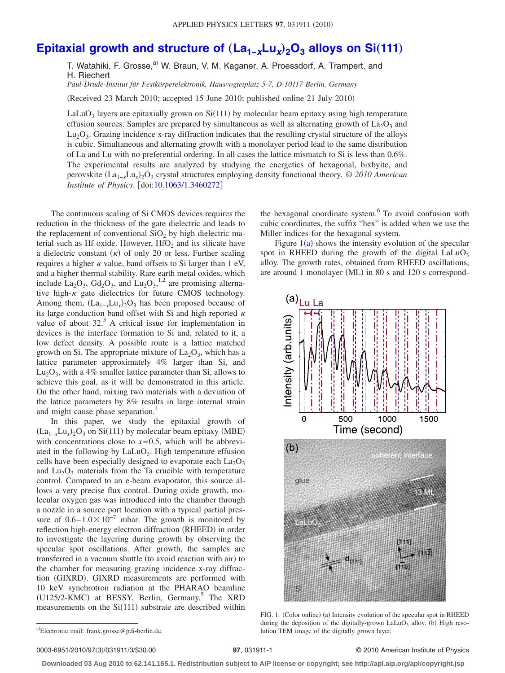## **[Epitaxial growth and structure of](http://dx.doi.org/10.1063/1.3460272)**  $(La_{1-x}Lu_x)$ **<sub>2</sub>O<sub>3</sub> alloys on Si(111)**

T. Watahiki, F. Grosse,<sup>a)</sup> W. Braun, V. M. Kaganer, A. Proessdorf, A. Trampert, and H. Riechert

*Paul-Drude-Institut für Festkörperelektronik, Hausvogteiplatz 5-7, D-10117 Berlin, Germany*

(Received 23 March 2010; accepted 15 June 2010; published online 21 July 2010)

LaLuO<sub>3</sub> layers are epitaxially grown on Si $(111)$  by molecular beam epitaxy using high temperature effusion sources. Samples are prepared by simultaneous as well as alternating growth of  $La_2O_3$  and  $Lu<sub>2</sub>O<sub>3</sub>$ . Grazing incidence x-ray diffraction indicates that the resulting crystal structure of the alloys is cubic. Simultaneous and alternating growth with a monolayer period lead to the same distribution of La and Lu with no preferential ordering. In all cases the lattice mismatch to Si is less than 0.6%. The experimental results are analyzed by studying the energetics of hexagonal, bixbyite, and perovskite (La<sub>1-*x*</sub>Lu<sub>x</sub>)<sub>2</sub>O<sub>3</sub> crystal structures employing density functional theory. © *2010 American Institute of Physics.* [doi[:10.1063/1.3460272](http://dx.doi.org/10.1063/1.3460272)]

The continuous scaling of Si CMOS devices requires the reduction in the thickness of the gate dielectric and leads to the replacement of conventional  $SiO<sub>2</sub>$  by high dielectric material such as Hf oxide. However,  $HfO<sub>2</sub>$  and its silicate have a dielectric constant  $(\kappa)$  of only 20 or less. Further scaling requires a higher  $\kappa$  value, band offsets to Si larger than 1 eV, and a higher thermal stability. Rare earth metal oxides, which include  $La_2O_3$ ,  $Gd_2O_3$ , and  $Lu_2O_3$ , <sup>[1](#page-2-0)[,2](#page-2-1)</sup> are promising alternative high- $\kappa$  gate dielectrics for future CMOS technology. Among them,  $(La_{1-x}Lu_x)_{2}O_3$  has been proposed because of its large conduction band offset with Si and high reported  $\kappa$ value of about  $32<sup>3</sup>$ . A critical issue for implementation in devices is the interface formation to Si and, related to it, a low defect density. A possible route is a lattice matched growth on Si. The appropriate mixture of  $La<sub>2</sub>O<sub>3</sub>$ , which has a lattice parameter approximately 4% larger than Si, and  $Lu<sub>2</sub>O<sub>3</sub>$ , with a 4% smaller lattice parameter than Si, allows to achieve this goal, as it will be demonstrated in this article. On the other hand, mixing two materials with a deviation of the lattice parameters by 8% results in large internal strain and might cause phase separation.<sup>4</sup>

In this paper, we study the epitaxial growth of  $(La_{1-x}Lu_x)_{2}O_3$  on Si(111) by molecular beam epitaxy (MBE) with concentrations close to  $x=0.5$ , which will be abbreviated in the following by  $LaLuO<sub>3</sub>$ . High temperature effusion cells have been especially designed to evaporate each  $La<sub>2</sub>O<sub>3</sub>$ and  $Lu<sub>2</sub>O<sub>3</sub>$  materials from the Ta crucible with temperature control. Compared to an e-beam evaporator, this source allows a very precise flux control. During oxide growth, molecular oxygen gas was introduced into the chamber through a nozzle in a source port location with a typical partial pressure of  $0.6-1.0\times10^{-7}$  mbar. The growth is monitored by reflection high-energy electron diffraction (RHEED) in order to investigate the layering during growth by observing the specular spot oscillations. After growth, the samples are transferred in a vacuum shuttle (to avoid reaction with air) to the chamber for measuring grazing incidence x-ray diffraction (GIXRD). GIXRD measurements are performed with 10 keV synchrotron radiation at the PHARAO beamline (U125/2-KMC) at BESSY, Berlin, Germany.<sup>5</sup> The XRD measurements on the  $Si(111)$  substrate are described within

the hexagonal coordinate system. $6$  To avoid confusion with cubic coordinates, the suffix "hex" is added when we use the Miller indices for the hexagonal system.

Figure  $1(a)$  $1(a)$  shows the intensity evolution of the specular spot in RHEED during the growth of the digital  $LaLuO<sub>3</sub>$ alloy. The growth rates, obtained from RHEED oscillations, are around 1 monolayer (ML) in 80 s and 120 s correspond-

<span id="page-0-1"></span>

FIG. 1. (Color online) (a) Intensity evolution of the specular spot in RHEED during the deposition of the digitally-grown LaLuO<sub>3</sub> alloy. (b) High resolution TEM image of the digitally grown layer.

## /031911/3/\$30.00 © 2010 American Institute of Physics **97**, 031911-1

**Downloaded 03 Aug 2010 to 62.141.165.1. Redistribution subject to AIP license or copyright; see http://apl.aip.org/apl/copyright.jsp**

<span id="page-0-0"></span>a)Electronic mail: frank.grosse@pdi-berlin.de.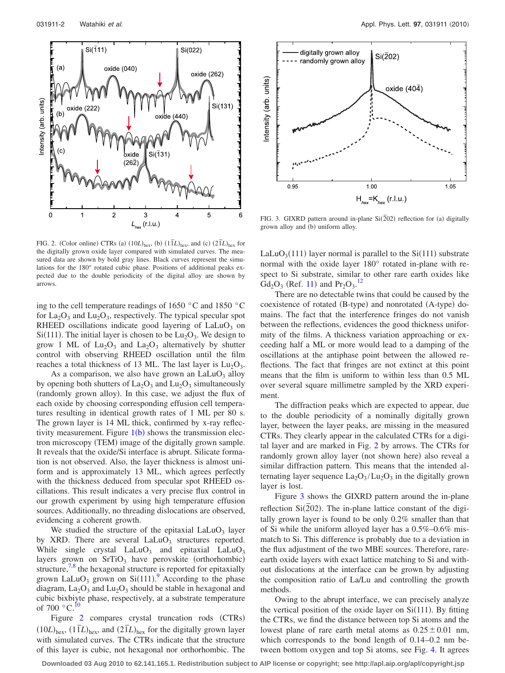<span id="page-1-0"></span>

FIG. 2. (Color online) CTRs (a)  $(10L)_{\text{hex}}$ , (b)  $(1\bar{1}L)_{\text{hex}}$ , and (c)  $(2\bar{1}L)_{\text{hex}}$  for the digitally grown oxide layer compared with simulated curves. The measured data are shown by bold gray lines. Black curves represent the simulations for the 180° rotated cubic phase. Positions of additional peaks expected due to the double periodicity of the digital alloy are shown by arrows.

ing to the cell temperature readings of 1650 °C and 1850 °C for  $La_2O_3$  and  $Lu_2O_3$ , respectively. The typical specular spot RHEED oscillations indicate good layering of  $LaLuO<sub>3</sub>$  on Si(111). The initial layer is chosen to be  $Lu_2O_3$ . We design to grow 1 ML of  $Lu_2O_3$  and  $La_2O_3$  alternatively by shutter control with observing RHEED oscillation until the film reaches a total thickness of 13 ML. The last layer is  $Lu_2O_3$ .

As a comparison, we also have grown an  $LaLuO<sub>3</sub>$  alloy by opening both shutters of  $La_2O_3$  and  $Lu_2O_3$  simultaneously (randomly grown alloy). In this case, we adjust the flux of each oxide by choosing corresponding effusion cell temperatures resulting in identical growth rates of 1 ML per 80 s. The grown layer is 14 ML thick, confirmed by x-ray reflectivity measurement. Figure  $1(b)$  $1(b)$  shows the transmission electron microscopy (TEM) image of the digitally grown sample. It reveals that the oxide/Si interface is abrupt. Silicate formation is not observed. Also, the layer thickness is almost uniform and is approximately 13 ML, which agrees perfectly with the thickness deduced from specular spot RHEED oscillations. This result indicates a very precise flux control in our growth experiment by using high temperature effusion sources. Additionally, no threading dislocations are observed, evidencing a coherent growth.

We studied the structure of the epitaxial  $LaLuO<sub>3</sub>$  layer by XRD. There are several  $LaLuO<sub>3</sub>$  structures reported. While single crystal  $LaLuO<sub>3</sub>$  and epitaxial  $LaLuO<sub>3</sub>$ layers grown on  $SrTiO<sub>3</sub>$  have perovskite (orthorhombic) structure, $7.8$  $7.8$  the hexagonal structure is reported for epitaxially grown LaLuO<sub>3</sub> grown on Si $(111)$ .<sup>[9](#page-2-8)</sup> According to the phase diagram,  $La_2O_3$  and  $Lu_2O_3$  should be stable in hexagonal and cubic bixbiyte phase, respectively, at a substrate temperature of 700  $^{\circ}$ C.<sup>10</sup>

Figure [2](#page-1-0) compares crystal truncation rods (CTRs)  $(10L)_{\text{hex}}$ ,  $(1\bar{1}L)_{\text{hex}}$ , and  $(2\bar{1}L)_{\text{hex}}$  for the digitally grown layer with simulated curves. The CTRs indicate that the structure of this layer is cubic, not hexagonal nor orthorhombic. The

<span id="page-1-1"></span>

FIG. 3. GIXRD pattern around in-plane  $Si(\overline{2}02)$  reflection for (a) digitally grown alloy and (b) uniform alloy.

LaLuO<sub>3</sub>(111) layer normal is parallel to the  $Si(111)$  substrate normal with the oxide layer 180° rotated in-plane with respect to Si substrate, similar to other rare earth oxides like  $Gd_2O_3$  (Ref. [11](#page-2-10)) and Pr<sub>2</sub>O<sub>3</sub>.<sup>[12](#page-2-11)</sup>

There are no detectable twins that could be caused by the coexistence of rotated (B-type) and nonrotated (A-type) domains. The fact that the interference fringes do not vanish between the reflections, evidences the good thickness uniformity of the films. A thickness variation approaching or exceeding half a ML or more would lead to a damping of the oscillations at the antiphase point between the allowed reflections. The fact that fringes are not extinct at this point means that the film is uniform to within less than 0.5 ML over several square millimetre sampled by the XRD experiment.

The diffraction peaks which are expected to appear, due to the double periodicity of a nominally digitally grown layer, between the layer peaks, are missing in the measured CTRs. They clearly appear in the calculated CTRs for a digital layer and are marked in Fig. [2](#page-1-0) by arrows. The CTRs for randomly grown alloy layer (not shown here) also reveal a similar diffraction pattern. This means that the intended alternating layer sequence  $La_2O_3/Lu_2O_3$  in the digitally grown layer is lost.

Figure [3](#page-1-1) shows the GIXRD pattern around the in-plane reflection  $Si(202)$ . The in-plane lattice constant of the digitally grown layer is found to be only 0.2% smaller than that of Si while the uniform alloyed layer has a 0.5%–0.6% mismatch to Si. This difference is probably due to a deviation in the flux adjustment of the two MBE sources. Therefore, rareearth oxide layers with exact lattice matching to Si and without dislocations at the interface can be grown by adjusting the composition ratio of La/Lu and controlling the growth methods.

Owing to the abrupt interface, we can precisely analyze the vertical position of the oxide layer on  $Si(111)$ . By fitting the CTRs, we find the distance between top Si atoms and the lowest plane of rare earth metal atoms as  $0.25 \pm 0.01$  nm, which corresponds to the bond length of 0.14–0.2 nm between bottom oxygen and top Si atoms, see Fig. [4.](#page-2-12) It agrees

**Downloaded 03 Aug 2010 to 62.141.165.1. Redistribution subject to AIP license or copyright; see http://apl.aip.org/apl/copyright.jsp**